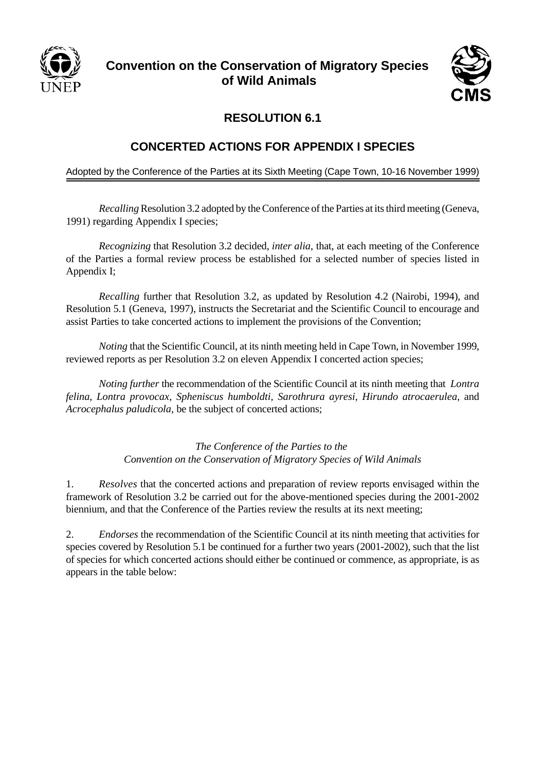

## **Convention on the Conservation of Migratory Species of Wild Animals**



## **RESOLUTION 6.1**

## **CONCERTED ACTIONS FOR APPENDIX I SPECIES**

Adopted by the Conference of the Parties at its Sixth Meeting (Cape Town, 10-16 November 1999)

*Recalling* Resolution 3.2 adopted by the Conference of the Parties at its third meeting (Geneva, 1991) regarding Appendix I species;

*Recognizing* that Resolution 3.2 decided, *inter alia,* that, at each meeting of the Conference of the Parties a formal review process be established for a selected number of species listed in Appendix I;

*Recalling* further that Resolution 3.2, as updated by Resolution 4.2 (Nairobi, 1994), and Resolution 5.1 (Geneva, 1997), instructs the Secretariat and the Scientific Council to encourage and assist Parties to take concerted actions to implement the provisions of the Convention;

*Noting* that the Scientific Council, at its ninth meeting held in Cape Town, in November 1999, reviewed reports as per Resolution 3.2 on eleven Appendix I concerted action species;

*Noting further* the recommendation of the Scientific Council at its ninth meeting that *Lontra felina*, *Lontra provocax, Spheniscus humboldti, Sarothrura ayresi, Hirundo atrocaerulea*, and *Acrocephalus paludicola,* be the subject of concerted actions;

> *The Conference of the Parties to the Convention on the Conservation of Migratory Species of Wild Animals*

1. *Resolves* that the concerted actions and preparation of review reports envisaged within the framework of Resolution 3.2 be carried out for the above-mentioned species during the 2001-2002 biennium, and that the Conference of the Parties review the results at its next meeting;

2. *Endorses* the recommendation of the Scientific Council at its ninth meeting that activities for species covered by Resolution 5.1 be continued for a further two years (2001-2002), such that the list of species for which concerted actions should either be continued or commence, as appropriate, is as appears in the table below: